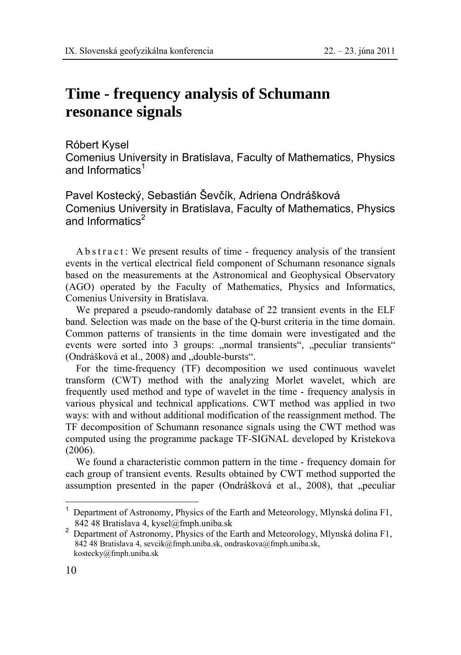## **Time - frequency analysis of Schumann resonance signals**

Róbert Kysel

Comenius University in Bratislava, Faculty of Mathematics, Physics and Informatics<sup>1</sup>

Pavel Kostecký, Sebastián Ševčík, Adriena Ondrášková Comenius University in Bratislava, Faculty of Mathematics, Physics and Informatics<sup>2</sup>

A b s t r a c t : We present results of time - frequency analysis of the transient events in the vertical electrical field component of Schumann resonance signals based on the measurements at the Astronomical and Geophysical Observatory (AGO) operated by the Faculty of Mathematics, Physics and Informatics, Comenius University in Bratislava.

We prepared a pseudo-randomly database of 22 transient events in the ELF band. Selection was made on the base of the Q-burst criteria in the time domain. Common patterns of transients in the time domain were investigated and the events were sorted into 3 groups: "normal transients", "peculiar transients" (Ondrášková et al., 2008) and "double-bursts".

For the time-frequency (TF) decomposition we used continuous wavelet transform (CWT) method with the analyzing Morlet wavelet, which are frequently used method and type of wavelet in the time - frequency analysis in various physical and technical applications. CWT method was applied in two ways: with and without additional modification of the reassignment method. The TF decomposition of Schumann resonance signals using the CWT method was computed using the programme package TF-SIGNAL developed by Kristekova (2006).

We found a characteristic common pattern in the time - frequency domain for each group of transient events. Results obtained by CWT method supported the assumption presented in the paper (Ondrášková et al., 2008), that "peculiar

 $\overline{a}$ 

<sup>1</sup> Department of Astronomy, Physics of the Earth and Meteorology, Mlynská dolina F1, 842 48 Bratislava 4, kysel@fmph.uniba.sk

<sup>&</sup>lt;sup>2</sup> Department of Astronomy, Physics of the Earth and Meteorology, Mlynská dolina F1, 842 48 Bratislava 4, sevcik@fmph.uniba.sk, ondraskova@fmph.uniba.sk, kostecky@fmph.uniba.sk